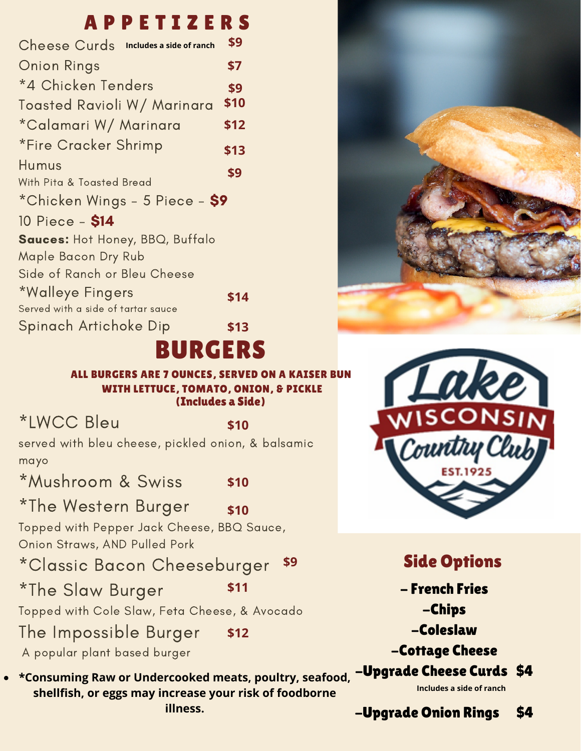## A P P E T I Z E R S

| <b>Cheese Curds</b><br>Includes a side of ranch | \$9  |
|-------------------------------------------------|------|
| <b>Onion Rings</b>                              | \$7  |
| *4 Chicken Tenders                              | \$9  |
| Toasted Ravioli W/ Marinara                     | \$10 |
| *Calamari W/ Marinara                           | \$12 |
| *Fire Cracker Shrimp                            | \$13 |
| Humus                                           | \$9  |
| With Pita & Toasted Bread                       |      |
| *Chicken Wings - 5 Piece - \$9                  |      |
| 10 Piece - \$14                                 |      |
| <b>Sauces:</b> Hot Honey, BBQ, Buffalo          |      |
| <b>Maple Bacon Dry Rub</b>                      |      |
| Side of Ranch or Bleu Cheese                    |      |
| *Walleye Fingers                                | \$14 |
| Served with a side of tartar sauce              |      |
| Spinach Artichoke Dip                           | 513  |

# BURGERS

ALL BURGERS ARE 7 OUNCES, SERVED ON A KAISER BUN WITH LETTUCE, TOMATO, ONION, & PICKLE (Includes a Side)

\*LWCC Bleu

**\$10**

**\$11**

served with bleu cheese, pickled onion, & balsamic mayo

\*Mushroom & Swiss **\$10**

\*The Western Burger Topped with Pepper Jack Cheese, BBQ Sauce, Onion Straws, AND Pulled Pork **\$10**

\*Classic Bacon Cheeseburger **\$9**

\*The Slaw Burger

Topped with Cole Slaw, Feta Cheese, & Avocado

The Impossible Burger **\$12**

A popular plant based burger

**\*Consuming Raw or Undercooked meats, poultry, seafood, shellfish, or eggs may increase your risk of foodborne illness.**





## Side Options

- French Fries

-Chips

-Coleslaw

-Cottage Cheese

#### -Upgrade Cheese Curds \$4

**Includes a side of ranch**